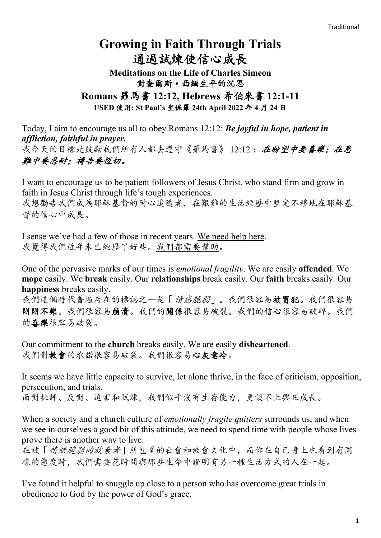# **Growing in Faith Through Trials**  通過試煉使信心成長

**Meditations on the Life of Charles Simeon** 對查爾斯·西緬生平的沉思 **Romans** 羅馬書 **12:12, Hebrews** 希伯來書 **12:1-11 USED** 使用**: St Paul's** 聖保羅 **24th April 2022** 年 **4** 月 **24** 日

Today, I aim to encourage us all to obey Romans 12:12: *Be joyful in hope, patient in affliction, faithful in prayer.*

我今天的目標是鼓勵我們所有人都去遵守《羅馬書》12:12: 在盼望中要喜樂: 在患 難中要忍耐;禱告要恆切。

I want to encourage us to be patient followers of Jesus Christ, who stand firm and grow in faith in Jesus Christ through life's tough experiences.

我想勸告我們成為耶穌基督的耐心追隨者,在艱難的生活經歷中堅定不移地在耶穌基 督的信心中成長。

I sense we've had a few of those in recent years. We need help here. 我覺得我們近年來已經歷了好些。我們都需要幫助。

One of the pervasive marks of our times is *emotional fragility*. We are easily **offended**. We **mope** easily. We **break** easily. Our **relationships** break easily. Our **faith** breaks easily. Our **happiness** breaks easily.

我們這個時代普遍存在的標誌之一是「情感脆弱」。我們很容易被冒犯。我們很容易 悶悶不樂。我們很容易崩潰。我們的關係很容易破裂。我們的信心很容易破碎。我們 的喜樂很容易破裂。

Our commitment to the **church** breaks easily. We are easily **disheartened**. 我們對教會的承諾很容易破裂。我們很容易心灰意冷。

It seems we have little capacity to survive, let alone thrive, in the face of criticism, opposition, persecution, and trials.

面對批評、反對、迫害和試煉,我們似乎沒有生存能力,更談不上興旺成長。

When a society and a church culture of *emotionally fragile quitters* surrounds us, and when we see in ourselves a good bit of this attitude, we need to spend time with people whose lives prove there is another way to live.

在被「情緒脆弱的放棄者」所包圍的社會和教會文化中,而你在自己身上也看到有同 樣的態度時,我們需要花時間與那些生命中證明有另一種生活方式的人在一起。

I've found it helpful to snuggle up close to a person who has overcome great trials in obedience to God by the power of God's grace.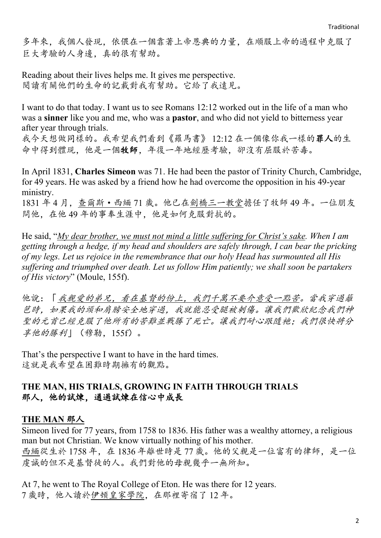多年來,我個人發現,依偎在一個靠著上帝恩典的力量,在順服上帝的過程中克服了 巨大考驗的人身邊,真的很有幫助。

Reading about their lives helps me. It gives me perspective. 閱讀有關他們的生命的記載對我有幫助。它給了我遠見。

I want to do that today. I want us to see Romans 12:12 worked out in the life of a man who was a **sinner** like you and me, who was a **pastor**, and who did not yield to bitterness year after year through trials.

我今天想做同樣的。我希望我們看到《羅馬書》 12:12 在一個像你我一樣的罪人的生 命中得到體現,他是一個牧師,年復一年地經歷考驗,卻沒有屈服於苦毒。

In April 1831, **Charles Simeon** was 71. He had been the pastor of Trinity Church, Cambridge, for 49 years. He was asked by a friend how he had overcome the opposition in his 49-year ministry.

1831 年 4 月,查爾斯·西緬 71 歲。他已在劍橋三一教堂擔任了牧師 49 年。一位朋友 問他,在他 49 年的事奉生涯中,他是如何克服對抗的。

He said, "*My dear brother, we must not mind a little suffering for Christ's sake. When I am getting through a hedge, if my head and shoulders are safely through, I can bear the pricking of my legs. Let us rejoice in the remembrance that our holy Head has surmounted all His suffering and triumphed over death. Let us follow Him patiently; we shall soon be partakers of His victory*" (Moule, 155f).

他說:「我親愛的弟兄,看在基督的份上,我們千萬不要介意受一點苦。當我穿過籬 笆時,如果我的頭和肩膀安全地穿過,我就能忍受腿被刺傷。讓我們歡欣紀念我們神 聖的元首已經克服了他所有的苦難並戰勝了死亡。讓我們耐心跟隨祂;我們很快將分 享他的勝利」(穆勒,155f)。

That's the perspective I want to have in the hard times. 這就是我希望在困難時期擁有的觀點。

### **THE MAN, HIS TRIALS, GROWING IN FAITH THROUGH TRIALS** 那人,他的試煉,通過試煉在信心中成長

### **THE MAN** 那人

Simeon lived for 77 years, from 1758 to 1836. His father was a wealthy attorney, a religious man but not Christian. We know virtually nothing of his mother. 西緬從生於1758年,在1836年離世時是77歲。他的父親是一位富有的律師,是一位 虔誠的但不是基督徒的人。我們對他的母親幾乎一無所知。

At 7, he went to The Royal College of Eton. He was there for 12 years. 7 歲時,他入讀於伊頓皇家學院,在那裡寄宿了 12 年。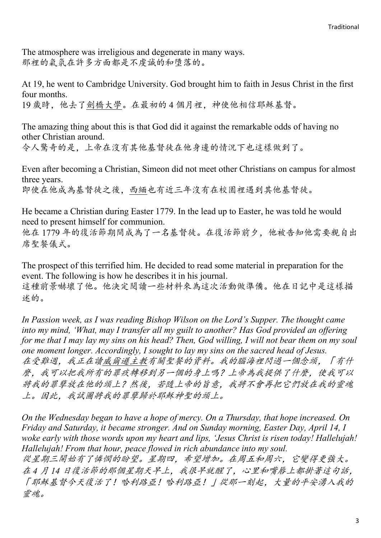The atmosphere was irreligious and degenerate in many ways. 那裡的氣氛在許多方面都是不虔誠的和墮落的。

At 19, he went to Cambridge University. God brought him to faith in Jesus Christ in the first four months.

19 歲時,他去了劍橋大學。在最初的4個月裡,神使他相信耶穌基督。

The amazing thing about this is that God did it against the remarkable odds of having no other Christian around.

令人驚奇的是,上帝在沒有其他基督徒在他身邊的情況下也這樣做到了。

Even after becoming a Christian, Simeon did not meet other Christians on campus for almost three years. 即使在他成為基督徒之後,西緬也有近三年沒有在校園裡遇到其他基督徒。

He became a Christian during Easter 1779. In the lead up to Easter, he was told he would need to present himself for communion. 他在 1779 年的復活節期間成為了一名基督徒。在復活節前夕,他被告知他需要親自出

席聖餐儀式。

The prospect of this terrified him. He decided to read some material in preparation for the event. The following is how he describes it in his journal. 這種前景嚇壞了他。他決定閱讀一些材料來為這次活動做準備。他在日記中是這樣描 述的。

*In Passion week, as I was reading Bishop Wilson on the Lord's Supper. The thought came into my mind, 'What, may I transfer all my guilt to another? Has God provided an offering for me that I may lay my sins on his head? Then, God willing, I will not bear them on my soul one moment longer. Accordingly, I sought to lay my sins on the sacred head of Jesus.* 在受難週,我正在讀威爾遜主教有關聖餐的資料。我的腦海裡閃過一個念頭,「有什 麼,我可以把我所有的罪疚轉移到另一個的身上嗎?上帝為我提供了什麼,使我可以 將我的罪孽放在他的頭上?然後,若隨上帝的旨意,我將不會再把它們放在我的靈魂 上。因此,我試圖將我的罪孽歸於耶穌神聖的頭上。

*On the Wednesday began to have a hope of mercy. On a Thursday, that hope increased. On Friday and Saturday, it became stronger. And on Sunday morning, Easter Day, April 14, I woke early with those words upon my heart and lips, 'Jesus Christ is risen today! Hallelujah! Hallelujah! From that hour, peace flowed in rich abundance into my soul.*

從星期三開始有了憐憫的盼望。星期四,希望增加。在周五和周六,它變得更強大。 在 *4* 月 *14* 日復活節的那個星期天早上,我很早就醒了,心里和嘴唇上都掛著這句話, 「耶穌基督今天復活了!哈利路亞!哈利路亞!」從那一刻起,大量的平安湧入我的 靈魂。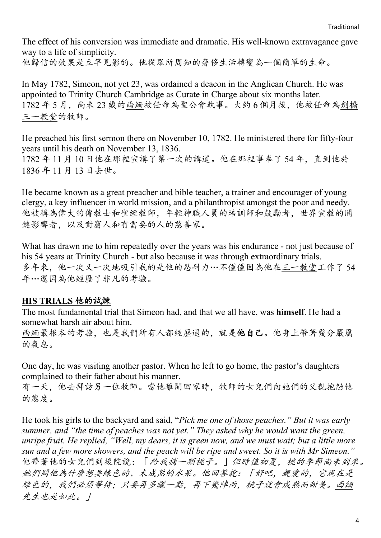The effect of his conversion was immediate and dramatic. His well-known extravagance gave way to a life of simplicity.

他歸信的效果是立竿見影的。他從眾所周知的奢侈生活轉變為一個簡單的生命。

In May 1782, Simeon, not yet 23, was ordained a deacon in the Anglican Church. He was appointed to Trinity Church Cambridge as Curate in Charge about six months later. 1782 年 5 月,尚未 23 歲的西緬被任命為聖公會執事。大約 6 個月後,他被任命為劍橋 三一教堂的牧師。

He preached his first sermon there on November 10, 1782. He ministered there for fifty-four years until his death on November 13, 1836. 1782 年 11 月 10 日他在那裡宣講了第一次的講道。他在那裡事奉了 54 年,直到他於 1836 年 11 月 13 日去世。

He became known as a great preacher and bible teacher, a trainer and encourager of young clergy, a key influencer in world mission, and a philanthropist amongst the poor and needy. 他被稱為偉大的傳教士和聖經教師,年輕神職人員的培訓師和鼓勵者,世界宣教的關 鍵影響者,以及對窮人和有需要的人的慈善家。

What has drawn me to him repeatedly over the years was his endurance - not just because of his 54 years at Trinity Church - but also because it was through extraordinary trials. 多年來,他一次又一次地吸引我的是他的忍耐力…不僅僅因為他在三一教堂工作了 54 年…還因為他經歷了非凡的考驗。

### **HIS TRIALS** 他的試煉

The most fundamental trial that Simeon had, and that we all have, was **himself**. He had a somewhat harsh air about him.

西緬最根本的考驗,也是我們所有人都經歷過的,就是他自己。他身上帶著幾分嚴厲 的氣息。

One day, he was visiting another pastor. When he left to go home, the pastor's daughters complained to their father about his manner.

有一天,他去拜訪另一位牧師。當他離開回家時,牧師的女兒們向她們的父親抱怨他 的態度。

He took his girls to the backyard and said, "*Pick me one of those peaches." But it was early summer, and "the time of peaches was not yet." They asked why he would want the green, unripe fruit. He replied, "Well, my dears, it is green now, and we must wait; but a little more sun and a few more showers, and the peach will be ripe and sweet. So it is with Mr Simeon."* 他帶著他的女兒們到後院說:「給我摘一顆桃子。」但時值初夏,桃的季節尚未到來。 她們問他為什麼想要綠色的、未成熟的水果。他回答說:「好吧,親愛的,它現在是 綠色的,我們必須等待;只要再多曬一點,再下幾陣雨,桃子就會成熟而甜美。西緬 先生也是如此。」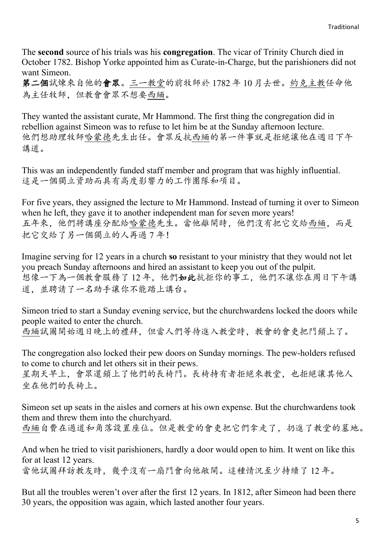The **second** source of his trials was his **congregation**. The vicar of Trinity Church died in October 1782. Bishop Yorke appointed him as Curate-in-Charge, but the parishioners did not want Simeon.

第二個試煉來自他的會眾。三一教堂的前牧師於 1782 年 10 月去世。約克主教任命他 為主任牧師,但教會會眾不想要西緬。

They wanted the assistant curate, Mr Hammond. The first thing the congregation did in rebellion against Simeon was to refuse to let him be at the Sunday afternoon lecture. 他們想助理牧師哈蒙德先生出任。會眾反抗西緬的第一件事就是拒絕讓他在週日下午 講道。

This was an independently funded staff member and program that was highly influential. 這是一個獨立資助而具有高度影響力的工作團隊和項目。

For five years, they assigned the lecture to Mr Hammond. Instead of turning it over to Simeon when he left, they gave it to another independent man for seven more years! 五年來,他們將講座分配給哈蒙德先生。當他離開時,他們沒有把它交給西緬,而是 把它交給了另一個獨立的人再過 7 年!

Imagine serving for 12 years in a church **so** resistant to your ministry that they would not let you preach Sunday afternoons and hired an assistant to keep you out of the pulpit. 想像一下為一個教會服務了 12 年,他們如此抗拒你的事工,他們不讓你在周日下午講 道,並聘請了一名助手讓你不能踏上講台。

Simeon tried to start a Sunday evening service, but the churchwardens locked the doors while people waited to enter the church. 西緬試圖開始週日晚上的禮拜,但當人們等待進入教堂時,教會的會吏把門鎖上了。

The congregation also locked their pew doors on Sunday mornings. The pew-holders refused to come to church and let others sit in their pews.

星期天早上,會眾還鎖上了他們的長椅門。長椅持有者拒絕來教堂,也拒絕讓其他人 坐在他們的長椅上。

Simeon set up seats in the aisles and corners at his own expense. But the churchwardens took them and threw them into the churchyard. 西緬自費在過道和角落設置座位。但是教堂的會吏把它們拿走了,扔進了教堂的墓地。

And when he tried to visit parishioners, hardly a door would open to him. It went on like this for at least 12 years. 當他試圖拜訪教友時,幾乎沒有一扇門會向他敞開。這種情況至少持續了 12 年。

But all the troubles weren't over after the first 12 years. In 1812, after Simeon had been there 30 years, the opposition was again, which lasted another four years.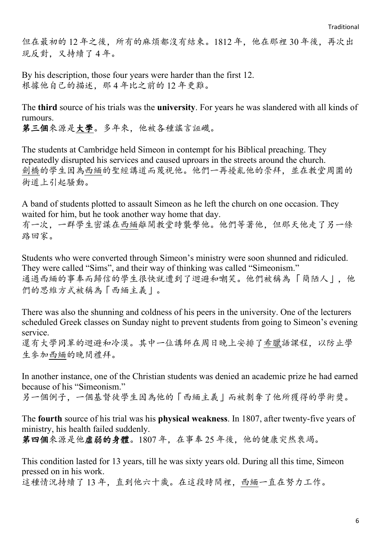但在最初的12年之後,所有的麻煩都沒有結束。1812年,他在那裡30年後,再次出 現反對,又持續了 4 年。

By his description, those four years were harder than the first 12. 根據他自己的描述,那 4 年比之前的 12 年更難。

The **third** source of his trials was the **university**. For years he was slandered with all kinds of rumours.

第三個來源是大學。多年來,他被各種謠言誣衊。

The students at Cambridge held Simeon in contempt for his Biblical preaching. They repeatedly disrupted his services and caused uproars in the streets around the church. 劍橋的學生因為西緬的聖經講道而蔑視他。他們一再擾亂他的崇拜,並在教堂周圍的 街道上引起騷動。

A band of students plotted to assault Simeon as he left the church on one occasion. They waited for him, but he took another way home that day.

有一次,一群學生密謀在西緬離開教堂時襲擊他。他們等著他,但那天他走了另一條 路回家。

Students who were converted through Simeon's ministry were soon shunned and ridiculed. They were called "Sims", and their way of thinking was called "Simeonism." 通過西緬的事奉而歸信的學生很快就遭到了迴避和嘲笑。他們被稱為「簡陋人」,他 們的思維方式被稱為「西緬主義」。

There was also the shunning and coldness of his peers in the university. One of the lecturers scheduled Greek classes on Sunday night to prevent students from going to Simeon's evening service.

還有大學同輩的迴避和冷漠。其中一位講師在周日晚上安排了希臘語課程,以防止學 生參加西緬的晚間禮拜。

In another instance, one of the Christian students was denied an academic prize he had earned because of his "Simeonism."

另一個例子,一個基督徒學生因為他的「西緬主義」而被剝奪了他所獲得的學術獎。

The **fourth** source of his trial was his **physical weakness**. In 1807, after twenty-five years of ministry, his health failed suddenly.

第四個來源是他虛弱的身體。1807 年,在事奉 25 年後,他的健康突然衰竭。

This condition lasted for 13 years, till he was sixty years old. During all this time, Simeon pressed on in his work.

這種情況持續了 13 年,直到他六十歲。在這段時間裡,西緬一直在努力工作。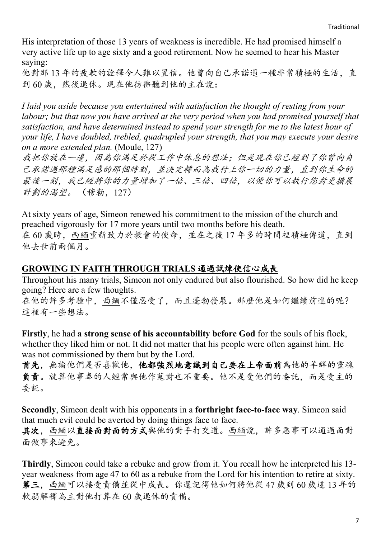His interpretation of those 13 years of weakness is incredible. He had promised himself a very active life up to age sixty and a good retirement. Now he seemed to hear his Master saying:

他對那 13 年的疲軟的詮釋令人難以置信。他曾向自己承諾過一種非常積極的生活,直 到 60 歲,然後退休。現在他彷彿聽到他的主在說:

*I laid you aside because you entertained with satisfaction the thought of resting from your labour; but that now you have arrived at the very period when you had promised yourself that satisfaction, and have determined instead to spend your strength for me to the latest hour of your life, I have doubled, trebled, quadrupled your strength, that you may execute your desire on a more extended plan.* (Moule, 127)

我把你放在一邊,因為你滿足於從工作中休息的想法;但是現在你已經到了你曾向自 己承諾過那種滿足感的那個時刻,並決定轉而為我付上你一切的力量,直到你生命的 最後一刻,我已經將你的力量增加了一倍、三倍、四倍,以便你可以執行您對更擴展 計劃的渴望。 (穆勒,127)

At sixty years of age, Simeon renewed his commitment to the mission of the church and preached vigorously for 17 more years until two months before his death. 在 60 歲時,西緬重新致力於教會的使命,並在之後 17 年多的時間裡積極傳道,直到 他去世前兩個月。

## **GROWING IN FAITH THROUGH TRIALS** 通過試煉使信心成長

Throughout his many trials, Simeon not only endured but also flourished. So how did he keep going? Here are a few thoughts.

在他的許多考驗中,西緬不僅忍受了,而且蓬勃發展。那麼他是如何繼續前進的呢? 這裡有一些想法。

**Firstly**, he had **a strong sense of his accountability before God** for the souls of his flock, whether they liked him or not. It did not matter that his people were often against him. He was not commissioned by them but by the Lord.

首先,無論他們是否喜歡他,他都強烈地意識到自己要在上帝面前為他的羊群的靈魂 負責。就算他事奉的人經常與他作蒐對也不重要。他不是受他們的委託,而是受主的 委託。

**Secondly**, Simeon dealt with his opponents in a **forthright face-to-face way**. Simeon said that much evil could be averted by doing things face to face.

其次,西緬以直接面對面的方式與他的對手打交道。西緬說,許多惡事可以通過面對 面做事來避免。

**Thirdly**, Simeon could take a rebuke and grow from it. You recall how he interpreted his 13 year weakness from age 47 to 60 as a rebuke from the Lord for his intention to retire at sixty. 第三,西緬可以接受責備並從中成長。你還記得他如何將他從 47 歲到 60 歲這 13 年的 軟弱解釋為主對他打算在 60 歲退休的責備。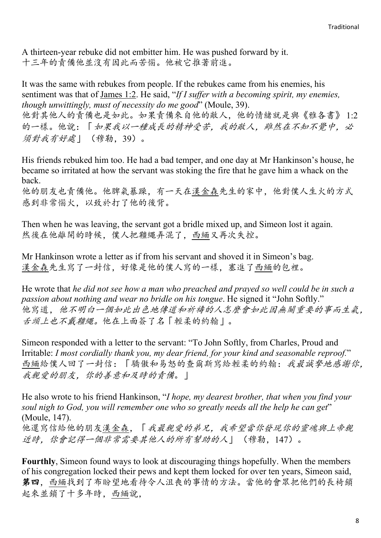A thirteen-year rebuke did not embitter him. He was pushed forward by it. 十三年的責備他並沒有因此而苦惱。他被它推著前進。

It was the same with rebukes from people. If the rebukes came from his enemies, his sentiment was that of James 1:2. He said, "*If I suffer with a becoming spirit, my enemies, though unwittingly, must of necessity do me good*" (Moule, 39). 他對其他人的責備也是如此。如果責備來自他的敵人,他的情緒就是與《雅各書》 1:2 的一樣。他說:「如果我以一種成長的精神受苦,我的敵人,雖然在不知不覺中,必 須對我有好處」 (穆勒,39)。

His friends rebuked him too. He had a bad temper, and one day at Mr Hankinson's house, he became so irritated at how the servant was stoking the fire that he gave him a whack on the back.

他的朋友也責備他。他脾氣暴躁,有一天在漢金森先生的家中,他對僕人生火的方式 感到非常惱火,以致於打了他的後背。

Then when he was leaving, the servant got a bridle mixed up, and Simeon lost it again. 然後在他離開的時候,僕人把韁繩弄混了,西緬又再次失控。

Mr Hankinson wrote a letter as if from his servant and shoved it in Simeon's bag. 漢金森先生寫了一封信,好像是他的僕人寫的一樣,塞進了西緬的包裡。

He wrote that *he did not see how a man who preached and prayed so well could be in such a passion about nothing and wear no bridle on his tongue*. He signed it "John Softly." 他寫道,他不明白一個如此出色地傳道和祈禱的人怎麼會如此因無關重要的事而生氣, 舌頭上也不戴韁繩。他在上面簽了名「輕柔的約翰」。

Simeon responded with a letter to the servant: "To John Softly, from Charles, Proud and Irritable: *I most cordially thank you, my dear friend, for your kind and seasonable reproof.*" 西緬給僕人回了一封信:「驕傲和易怒的查爾斯寫給輕柔的約翰:我最誠摯地感謝你, 我親愛的朋友,你的善意和及時的責備。|

He also wrote to his friend Hankinson, "*I hope, my dearest brother, that when you find your soul nigh to God, you will remember one who so greatly needs all the help he can get*" (Moule, 147). 他還寫信給他的朋友漢金森,「我最親愛的弟兄,我希望當你發現你的靈魂與上帝親 近時,你會記得一個非常需要其他人的所有幫助的人」 (穆勒,147)。

**Fourthly**, Simeon found ways to look at discouraging things hopefully. When the members of his congregation locked their pews and kept them locked for over ten years, Simeon said, 第四,西緬找到了布盼望地看待令人沮喪的事情的方法。當他的會眾把他們的長椅鎖 起來並鎖了十多年時,西緬說,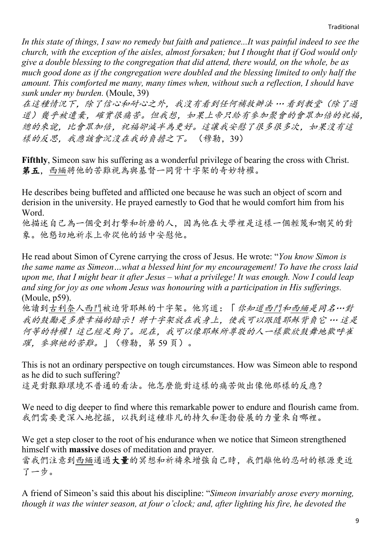*In this state of things, I saw no remedy but faith and patience...It was painful indeed to see the church, with the exception of the aisles, almost forsaken; but I thought that if God would only give a double blessing to the congregation that did attend, there would, on the whole, be as much good done as if the congregation were doubled and the blessing limited to only half the amount. This comforted me many, many times when, without such a reflection, I should have sunk under my burden.* (Moule, 39)

在這種情況下,除了信心和耐心之外,我沒有看到任何補救辦法 … 看到教堂(除了過 道)幾乎被遺棄,確實很痛苦。但我想,如果上帝只給有參加聚會的會眾加倍的祝福, 總的來說,比會眾加倍,祝福卻減半為更好。這讓我安慰了很多很多次,如果沒有這 樣的反思,我應該會沉沒在我的負擔之下。 (穆勒,39)

**Fifthly**, Simeon saw his suffering as a wonderful privilege of bearing the cross with Christ. 第五,西緬將他的苦難視為與基督一同背十字架的奇妙特權。

He describes being buffeted and afflicted one because he was such an object of scorn and derision in the university. He prayed earnestly to God that he would comfort him from his Word.

他描述自己為一個受到打擊和折磨的人,因為他在大學裡是這樣一個輕蔑和嘲笑的對 象。他懇切地祈求上帝從他的話中安慰他。

He read about Simon of Cyrene carrying the cross of Jesus. He wrote: "*You know Simon is the same name as Simeon…what a blessed hint for my encouragement! To have the cross laid upon me, that I might bear it after Jesus – what a privilege! It was enough. Now I could leap and sing for joy as one whom Jesus was honouring with a participation in His sufferings.* (Moule, p59).

他讀到古利奈人西門被迫背耶穌的十字架。他寫道:「你知道西門和西緬是同名…對 我的鼓勵是多麼幸福的暗示!將十字架放在我身上,使我可以跟隨耶穌背負它 … 這是 何等的特權!這已經足夠了。現在,我可以像耶穌所尊敬的人一樣歡欣鼓舞地歡呼雀 躍,參與祂的苦難。」(穆勒,第 59 頁)。

This is not an ordinary perspective on tough circumstances. How was Simeon able to respond as he did to such suffering?

這是對艱難環境不普通的看法。他怎麼能對這樣的痛苦做出像他那樣的反應?

We need to dig deeper to find where this remarkable power to endure and flourish came from. 我們需要更深入地挖掘,以找到這種非凡的持久和蓬勃發展的力量來自哪裡。

We get a step closer to the root of his endurance when we notice that Simeon strengthened himself with **massive** doses of meditation and prayer.

當我們注意到西緬通大量的冥想和祈禱來增強自己時,我們離他的忍耐的根源更近 了一步。

A friend of Simeon's said this about his discipline: "*Simeon invariably arose every morning, though it was the winter season, at four o'clock; and, after lighting his fire, he devoted the*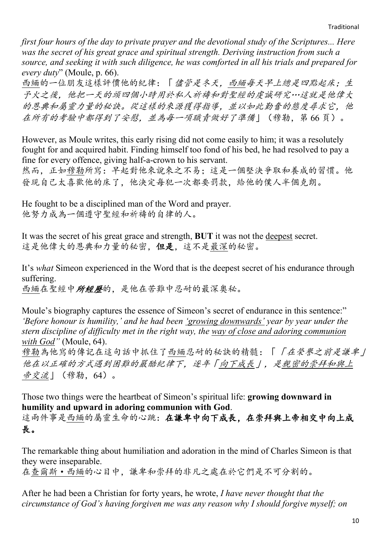*first four hours of the day to private prayer and the devotional study of the Scriptures... Here was the secret of his great grace and spiritual strength. Deriving instruction from such a source, and seeking it with such diligence, he was comforted in all his trials and prepared for every duty*" (Moule, p. 66).

西緬的一位朋友這樣評價他的紀律:「儘管是冬天,西緬每天早上總是四點起床;生 予火之後,他把一天的頭四個小時用於私人祈禱和對聖經的虔誠研究…這就是他偉大 的恩典和屬靈力量的秘訣。從這樣的來源獲得指導,並以如此勤奮的態度尋求它,他 在所有的考驗中都得到了安慰,並為每一項職責做好了準備」(穆勒,第 66 頁)。

However, as Moule writes, this early rising did not come easily to him; it was a resolutely fought for and acquired habit. Finding himself too fond of his bed, he had resolved to pay a fine for every offence, giving half-a-crown to his servant.

然而,正如穆勒所寫:早起對他來說來之不易;這是一個堅決爭取和養成的習慣。他 發現自己太喜歡他的床了,他決定每犯一次都要罰款,給他的僕人半個克朗。

He fought to be a disciplined man of the Word and prayer. 他努力成為一個遵守聖經和祈禱的自律的人。

It was the secret of his great grace and strength, **BUT** it was not the deepest secret. 這是他偉大的恩典和力量的秘密,但是,這不是最深的秘密。

It's *what* Simeon experienced in the Word that is the deepest secret of his endurance through suffering.

西緬在聖經中所經歷的,是他在苦難中忍耐的最深奧秘。

Moule's biography captures the essence of Simeon's secret of endurance in this sentence:" *'Before honour is humility,' and he had been 'growing downwards' year by year under the stern discipline of difficulty met in the right way, the way of close and adoring communion with God"* (Moule, 64).

穆勒為他寫的傳記在這句話中抓住了西緬忍耐的秘訣的精髓:「「在榮譽之前是謙卑」 他在以正確的方式遇到困難的嚴酷紀律下,逐年「向下成長」,是親密的崇拜和與上 帝交流」(穆勒,64)。

Those two things were the heartbeat of Simeon's spiritual life: **growing downward in humility and upward in adoring communion with God**. 這兩件事是西緬的屬靈生命的心跳:在謙卑中向下成長,在崇拜與上帝相交中向上成 長。

The remarkable thing about humiliation and adoration in the mind of Charles Simeon is that they were inseparable.

在查爾斯·西緬的心目中,謙卑和崇拜的非凡之處在於它們是不可分割的。

After he had been a Christian for forty years, he wrote, *I have never thought that the circumstance of God's having forgiven me was any reason why I should forgive myself; on*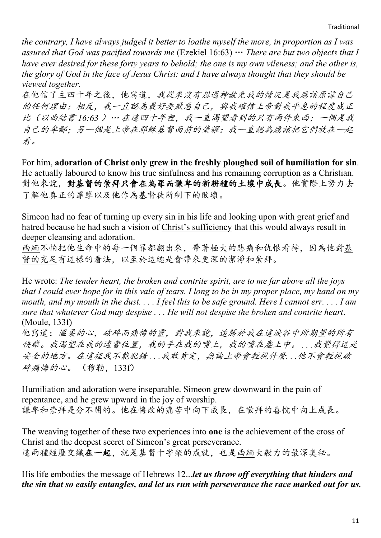*the contrary, I have always judged it better to loathe myself the more, in proportion as I was assured that God was pacified towards me* (Ezekiel 16:63) … *There are but two objects that I have ever desired for these forty years to behold; the one is my own vileness; and the other is, the glory of God in the face of Jesus Christ: and I have always thought that they should be viewed together.*

在他信了主四十年之後,他寫道,我從來沒有想過神赦免我的情況是我應該原諒自己 的任何理由;相反,我一直認為最好要厭惡自己,與我確信上帝對我平息的程度成正 比(以西結書 *16:63* )… 在這四十年裡,我一直渴望看到的只有兩件東西;一個是我 自己的卑鄙;另一個是上帝在耶穌基督面前的榮耀:我一直認為應該把它們放在一起 看。

For him, **adoration of Christ only grew in the freshly ploughed soil of humiliation for sin**. He actually laboured to know his true sinfulness and his remaining corruption as a Christian. 對他來說,對基督的崇拜只會在為罪而謙卑的新耕種的土壤中成長。他實際上努力去 了解他真正的罪孽以及他作為基督徒所剩下的敗壞。

Simeon had no fear of turning up every sin in his life and looking upon with great grief and hatred because he had such a vision of Christ's sufficiency that this would always result in deeper cleansing and adoration.

西緬不怕把他生命中的每一個罪都翻出來,帶著極大的悲痛和仇恨看待,因為他對基 督的充足有這樣的看法,以至於這總是會帶來更深的潔淨和崇拜。

He wrote: *The tender heart, the broken and contrite spirit, are to me far above all the joys that I could ever hope for in this vale of tears. I long to be in my proper place, my hand on my mouth, and my mouth in the dust. . . . I feel this to be safe ground. Here I cannot err. . . . I am sure that whatever God may despise . . . He will not despise the broken and contrite heart*. (Moule, 133f)

他寫道:溫柔的心,破碎而痛悔的靈,對我來說,遠勝於我在這淚谷中所期望的所有 快樂。我渴望在我的適當位置,我的手在我的嘴上,我的嘴在塵土中。 *. . .*我覺得這是 安全的地方。在這裡我不能犯錯 *. . .*我敢肯定,無論上帝會輕視什麼*. . .*他不會輕視破 碎痛悔的心。 (穆勒, 133f)

Humiliation and adoration were inseparable. Simeon grew downward in the pain of repentance, and he grew upward in the joy of worship. 謙卑和崇拜是分不開的。他在悔改的痛苦中向下成長,在敬拜的喜悅中向上成長。

The weaving together of these two experiences into **one** is the achievement of the cross of Christ and the deepest secret of Simeon's great perseverance. 這兩種經歷交織在一起,就是基督十字架的成就,也是西緬大毅力的最深奧秘。

His life embodies the message of Hebrews 12...*let us throw off everything that hinders and the sin that so easily entangles, and let us run with perseverance the race marked out for us.*